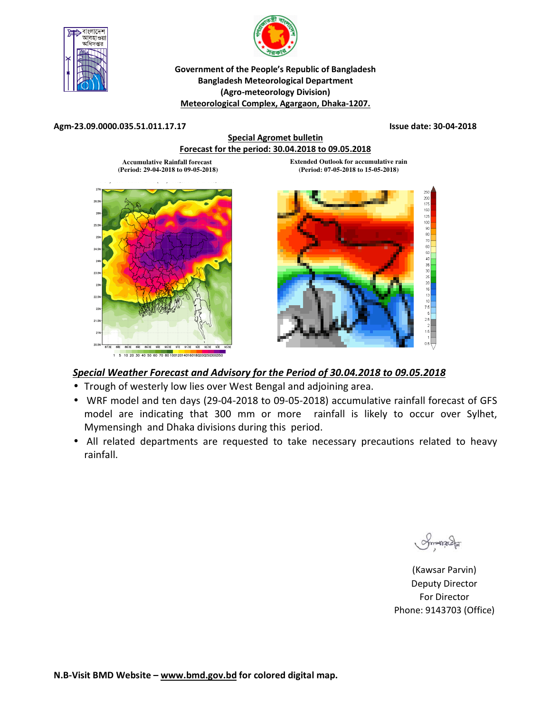



### **Government of the People's Republic of Bangladesh Bangladesh Meteorological Department (Agro-meteorology Division) Meteorological Complex, Agargaon, Dhaka-1207.**

#### **Agm-23.09.0000.035.51.011.17.17 Issue date: 30-04-2018**



## *Special Weather Forecast and Advisory for the Period of 30.04.2018 to 09.05.2018*

- Trough of westerly low lies over West Bengal and adjoining area.
- WRF model and ten days (29-04-2018 to 09-05-2018) accumulative rainfall forecast of GFS model are indicating that 300 mm or more rainfall is likely to occur over Sylhet, Mymensingh and Dhaka divisions during this period.
- All related departments are requested to take necessary precautions related to heavy rainfall.

Smanacla

(Kawsar Parvin) Deputy Director For Director Phone: 9143703 (Office)